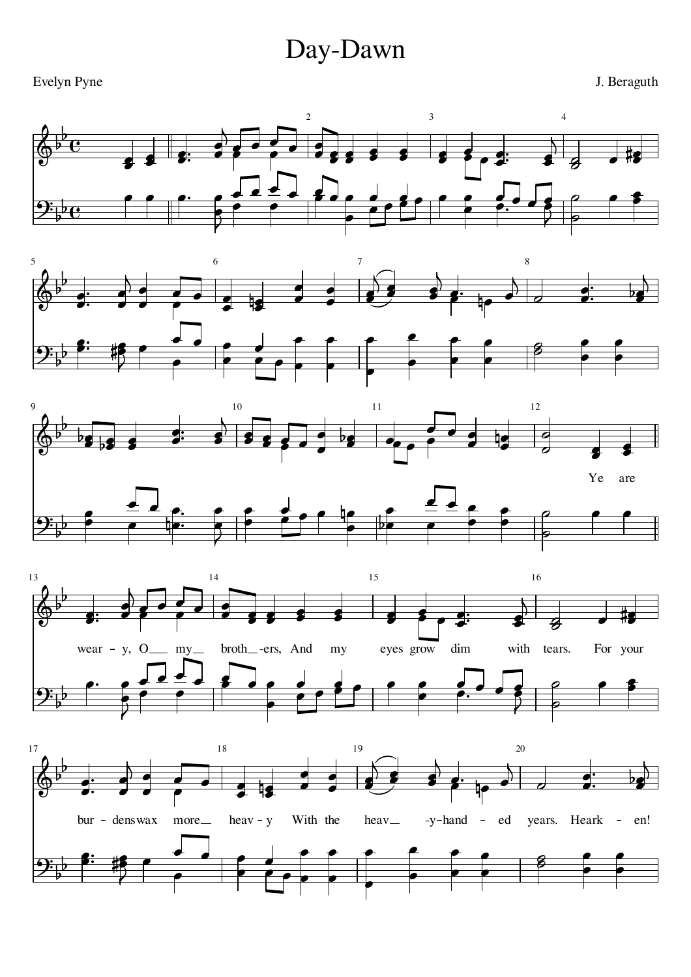## Day-Dawn

Evelyn Pyne

J. Beraguth









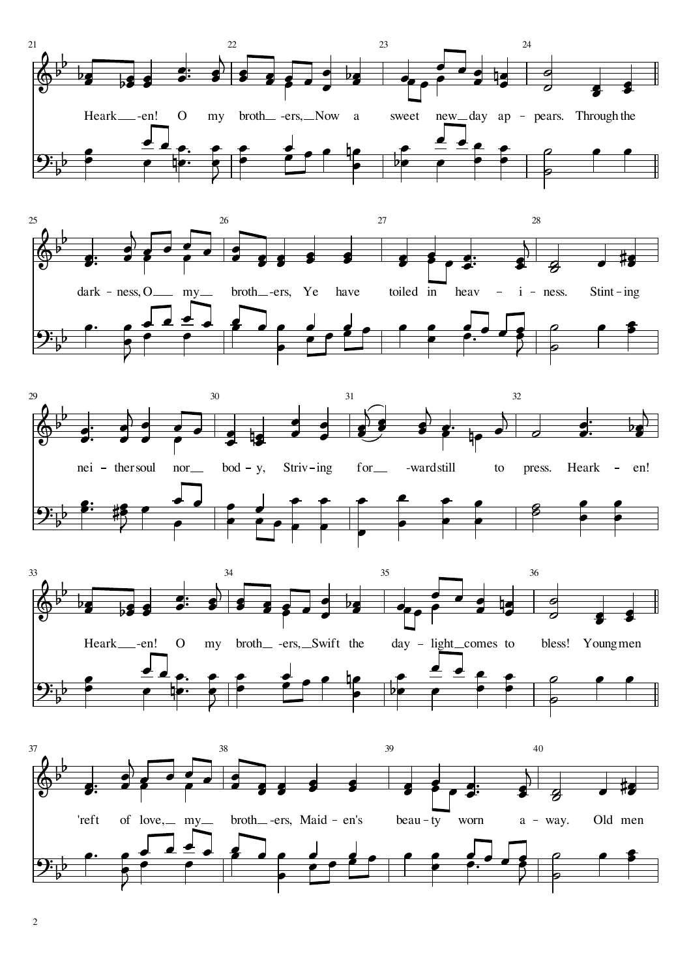







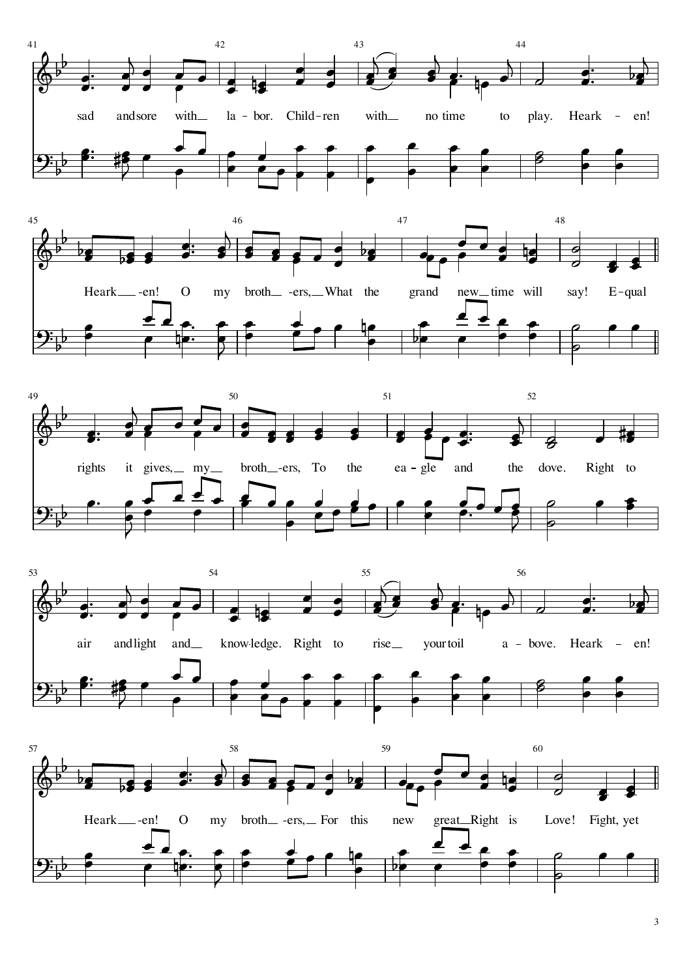









3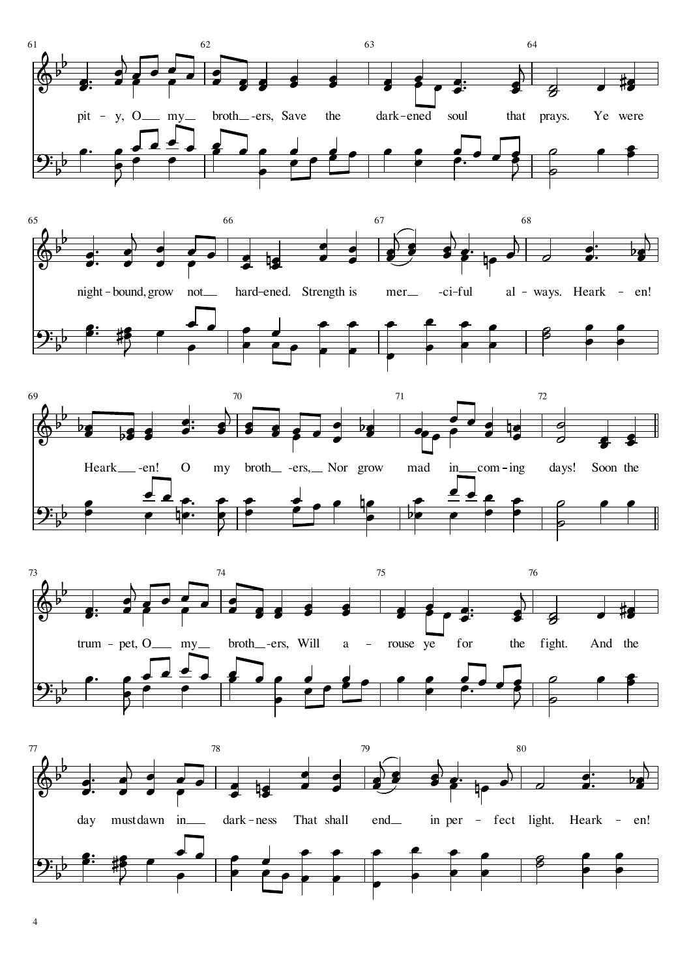